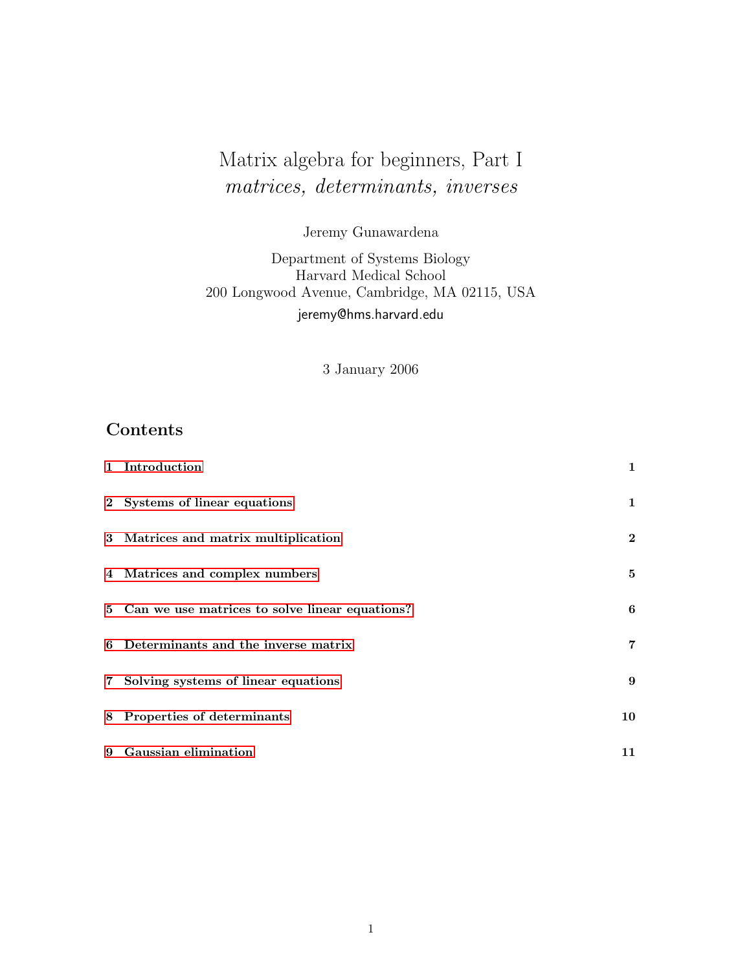# <span id="page-0-0"></span>Matrix algebra for beginners, Part I matrices, determinants, inverses

Jeremy Gunawardena

Department of Systems Biology Harvard Medical School 200 Longwood Avenue, Cambridge, MA 02115, USA jeremy@hms.harvard.edu

3 January 2006

## Contents

| 1 Introduction                                   | $\mathbf{1}$   |
|--------------------------------------------------|----------------|
| 2 Systems of linear equations                    | $\mathbf{1}$   |
| 3 Matrices and matrix multiplication             | $\mathbf{2}$   |
| 4 Matrices and complex numbers                   | 5              |
| 5 Can we use matrices to solve linear equations? | 6              |
| 6 Determinants and the inverse matrix            | $\overline{7}$ |
| 7 Solving systems of linear equations            | 9              |
| 8 Properties of determinants                     | 10             |
| 9 Gaussian elimination                           | 11             |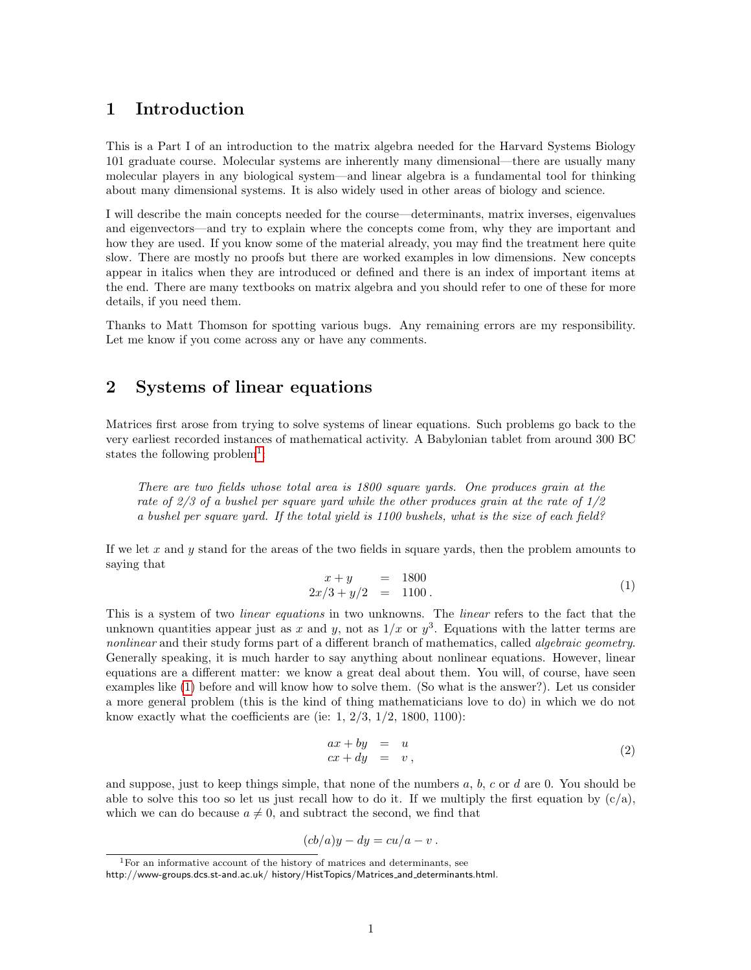## <span id="page-1-0"></span>1 Introduction

This is a Part I of an introduction to the matrix algebra needed for the Harvard Systems Biology 101 graduate course. Molecular systems are inherently many dimensional—there are usually many molecular players in any biological system—and linear algebra is a fundamental tool for thinking about many dimensional systems. It is also widely used in other areas of biology and science.

I will describe the main concepts needed for the course—determinants, matrix inverses, eigenvalues and eigenvectors—and try to explain where the concepts come from, why they are important and how they are used. If you know some of the material already, you may find the treatment here quite slow. There are mostly no proofs but there are worked examples in low dimensions. New concepts appear in italics when they are introduced or defined and there is an index of important items at the end. There are many textbooks on matrix algebra and you should refer to one of these for more details, if you need them.

Thanks to Matt Thomson for spotting various bugs. Any remaining errors are my responsibility. Let me know if you come across any or have any comments.

## <span id="page-1-1"></span>2 Systems of linear equations

Matrices first arose from trying to solve systems of linear equations. Such problems go back to the very earliest recorded instances of mathematical activity. A Babylonian tablet from around 300 BC states the following problem<sup>[1](#page-1-2)</sup>:

There are two fields whose total area is 1800 square yards. One produces grain at the rate of 2/3 of a bushel per square yard while the other produces grain at the rate of  $1/2$ a bushel per square yard. If the total yield is 1100 bushels, what is the size of each field?

<span id="page-1-3"></span>If we let x and y stand for the areas of the two fields in square vards, then the problem amounts to saying that

$$
\begin{array}{rcl}\nx + y & = & 1800 \\
2x/3 + y/2 & = & 1100\n\end{array} \tag{1}
$$

This is a system of two *linear equations* in two unknowns. The *linear* refers to the fact that the unknown quantities appear just as x and y, not as  $1/x$  or  $y^3$ . Equations with the latter terms are nonlinear and their study forms part of a different branch of mathematics, called *algebraic geometry*. Generally speaking, it is much harder to say anything about nonlinear equations. However, linear equations are a different matter: we know a great deal about them. You will, of course, have seen examples like [\(1\)](#page-1-3) before and will know how to solve them. (So what is the answer?). Let us consider a more general problem (this is the kind of thing mathematicians love to do) in which we do not know exactly what the coefficients are (ie:  $1, 2/3, 1/2, 1800, 1100$ ):

<span id="page-1-4"></span>
$$
ax + by = u cx + dy = v,
$$
 (2)

and suppose, just to keep things simple, that none of the numbers  $a, b, c$  or  $d$  are 0. You should be able to solve this too so let us just recall how to do it. If we multiply the first equation by  $(c/a)$ , which we can do because  $a \neq 0$ , and subtract the second, we find that

$$
(cb/a)y - dy = cu/a - v.
$$

<span id="page-1-2"></span><sup>1</sup>For an informative account of the history of matrices and determinants, see

http://www-groups.dcs.st-and.ac.uk/ history/HistTopics/Matrices\_and\_determinants.html.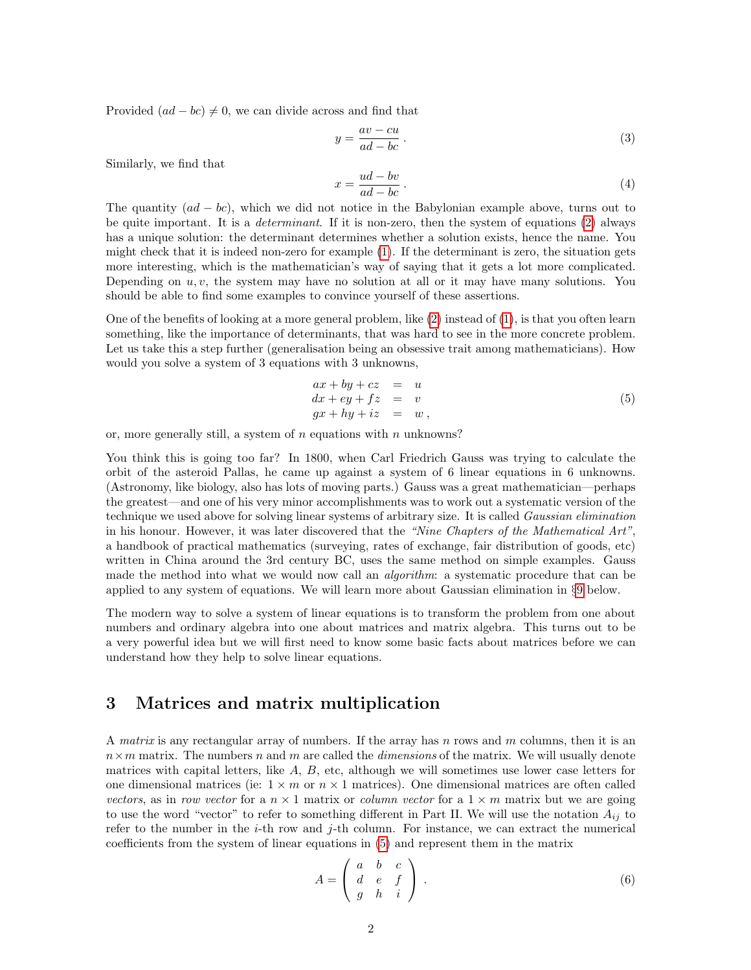<span id="page-2-5"></span>Provided  $(ad - bc) \neq 0$ , we can divide across and find that

<span id="page-2-3"></span>
$$
y = \frac{av - cu}{ad - bc} \tag{3}
$$

Similarly, we find that

<span id="page-2-4"></span>
$$
x = \frac{ud - bv}{ad - bc} \tag{4}
$$

The quantity  $(ad - bc)$ , which we did not notice in the Babylonian example above, turns out to be quite important. It is a *determinant*. If it is non-zero, then the system of equations [\(2\)](#page-1-4) always has a unique solution: the determinant determines whether a solution exists, hence the name. You might check that it is indeed non-zero for example [\(1\)](#page-1-3). If the determinant is zero, the situation gets more interesting, which is the mathematician's way of saying that it gets a lot more complicated. Depending on  $u, v$ , the system may have no solution at all or it may have many solutions. You should be able to find some examples to convince yourself of these assertions.

One of the benefits of looking at a more general problem, like [\(2\)](#page-1-4) instead of [\(1\)](#page-1-3), is that you often learn something, like the importance of determinants, that was hard to see in the more concrete problem. Let us take this a step further (generalisation being an obsessive trait among mathematicians). How would you solve a system of 3 equations with 3 unknowns,

<span id="page-2-1"></span>
$$
ax + by + cz = u
$$
  
\n
$$
dx + ey + fz = v
$$
  
\n
$$
gx + hy + iz = w
$$
\n(5)

or, more generally still, a system of  $n$  equations with  $n$  unknowns?

You think this is going too far? In 1800, when Carl Friedrich Gauss was trying to calculate the orbit of the asteroid Pallas, he came up against a system of 6 linear equations in 6 unknowns. (Astronomy, like biology, also has lots of moving parts.) Gauss was a great mathematician—perhaps the greatest—and one of his very minor accomplishments was to work out a systematic version of the technique we used above for solving linear systems of arbitrary size. It is called Gaussian elimination in his honour. However, it was later discovered that the "Nine Chapters of the Mathematical Art", a handbook of practical mathematics (surveying, rates of exchange, fair distribution of goods, etc) written in China around the 3rd century BC, uses the same method on simple examples. Gauss made the method into what we would now call an algorithm: a systematic procedure that can be applied to any system of equations. We will learn more about Gaussian elimination in §[9](#page-11-0) below.

The modern way to solve a system of linear equations is to transform the problem from one about numbers and ordinary algebra into one about matrices and matrix algebra. This turns out to be a very powerful idea but we will first need to know some basic facts about matrices before we can understand how they help to solve linear equations.

### <span id="page-2-0"></span>3 Matrices and matrix multiplication

A matrix is any rectangular array of numbers. If the array has n rows and  $m$  columns, then it is an  $n \times m$  matrix. The numbers n and m are called the *dimensions* of the matrix. We will usually denote matrices with capital letters, like  $A, B$ , etc, although we will sometimes use lower case letters for one dimensional matrices (ie:  $1 \times m$  or  $n \times 1$  matrices). One dimensional matrices are often called vectors, as in row vector for a  $n \times 1$  matrix or column vector for a  $1 \times m$  matrix but we are going to use the word "vector" to refer to something different in Part II. We will use the notation  $A_{ij}$  to refer to the number in the  $i$ -th row and  $j$ -th column. For instance, we can extract the numerical coefficients from the system of linear equations in [\(5\)](#page-2-1) and represent them in the matrix

<span id="page-2-2"></span>
$$
A = \left(\begin{array}{ccc} a & b & c \\ d & e & f \\ g & h & i \end{array}\right) \tag{6}
$$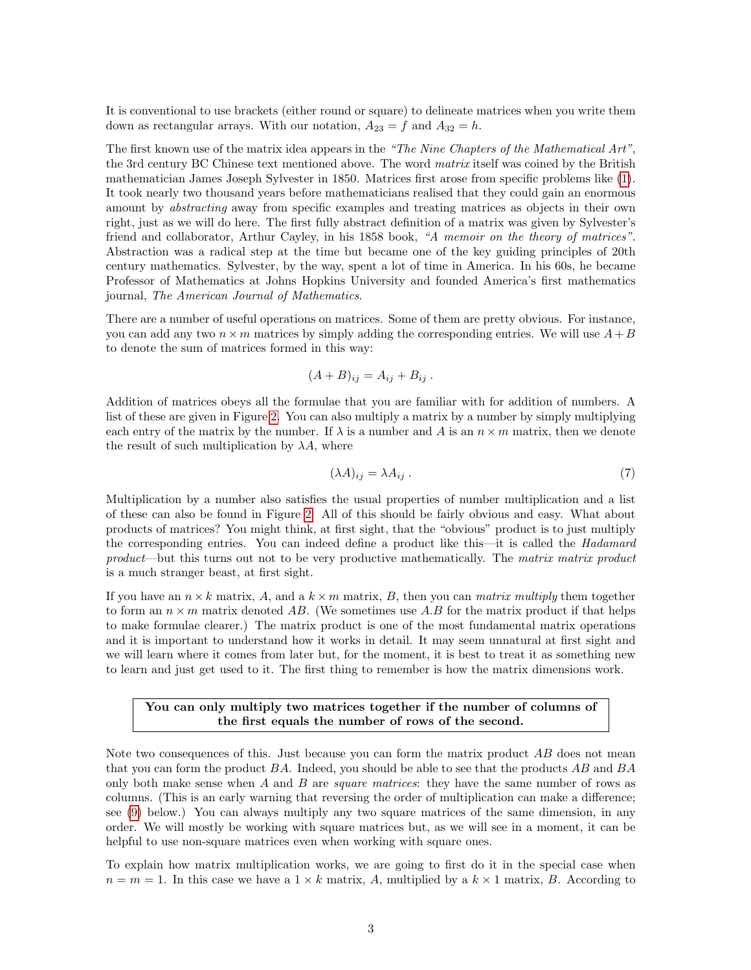<span id="page-3-1"></span>It is conventional to use brackets (either round or square) to delineate matrices when you write them down as rectangular arrays. With our notation,  $A_{23} = f$  and  $A_{32} = h$ .

The first known use of the matrix idea appears in the "The Nine Chapters of the Mathematical Art", the 3rd century BC Chinese text mentioned above. The word *matrix* itself was coined by the British mathematician James Joseph Sylvester in 1850. Matrices first arose from specific problems like [\(1\)](#page-1-3). It took nearly two thousand years before mathematicians realised that they could gain an enormous amount by abstracting away from specific examples and treating matrices as objects in their own right, just as we will do here. The first fully abstract definition of a matrix was given by Sylvester's friend and collaborator, Arthur Cayley, in his 1858 book, "A memoir on the theory of matrices". Abstraction was a radical step at the time but became one of the key guiding principles of 20th century mathematics. Sylvester, by the way, spent a lot of time in America. In his 60s, he became Professor of Mathematics at Johns Hopkins University and founded America's first mathematics journal, The American Journal of Mathematics.

There are a number of useful operations on matrices. Some of them are pretty obvious. For instance, you can add any two  $n \times m$  matrices by simply adding the corresponding entries. We will use  $A + B$ to denote the sum of matrices formed in this way:

$$
(A+B)_{ij}=A_{ij}+B_{ij}.
$$

Addition of matrices obeys all the formulae that you are familiar with for addition of numbers. A list of these are given in Figure [2.](#page-14-0) You can also multiply a matrix by a number by simply multiplying each entry of the matrix by the number. If  $\lambda$  is a number and A is an  $n \times m$  matrix, then we denote the result of such multiplication by  $\lambda A$ , where

<span id="page-3-0"></span>
$$
(\lambda A)_{ij} = \lambda A_{ij} \,. \tag{7}
$$

Multiplication by a number also satisfies the usual properties of number multiplication and a list of these can also be found in Figure [2.](#page-14-0) All of this should be fairly obvious and easy. What about products of matrices? You might think, at first sight, that the "obvious" product is to just multiply the corresponding entries. You can indeed define a product like this—it is called the Hadamard product—but this turns out not to be very productive mathematically. The matrix matrix product is a much stranger beast, at first sight.

If you have an  $n \times k$  matrix, A, and a  $k \times m$  matrix, B, then you can matrix multiply them together to form an  $n \times m$  matrix denoted AB. (We sometimes use A.B for the matrix product if that helps to make formulae clearer.) The matrix product is one of the most fundamental matrix operations and it is important to understand how it works in detail. It may seem unnatural at first sight and we will learn where it comes from later but, for the moment, it is best to treat it as something new to learn and just get used to it. The first thing to remember is how the matrix dimensions work.

#### You can only multiply two matrices together if the number of columns of the first equals the number of rows of the second.

Note two consequences of this. Just because you can form the matrix product AB does not mean that you can form the product BA. Indeed, you should be able to see that the products AB and BA only both make sense when  $A$  and  $B$  are *square matrices*: they have the same number of rows as columns. (This is an early warning that reversing the order of multiplication can make a difference; see [\(9\)](#page-4-0) below.) You can always multiply any two square matrices of the same dimension, in any order. We will mostly be working with square matrices but, as we will see in a moment, it can be helpful to use non-square matrices even when working with square ones.

To explain how matrix multiplication works, we are going to first do it in the special case when  $n = m = 1$ . In this case we have a  $1 \times k$  matrix, A, multiplied by a  $k \times 1$  matrix, B. According to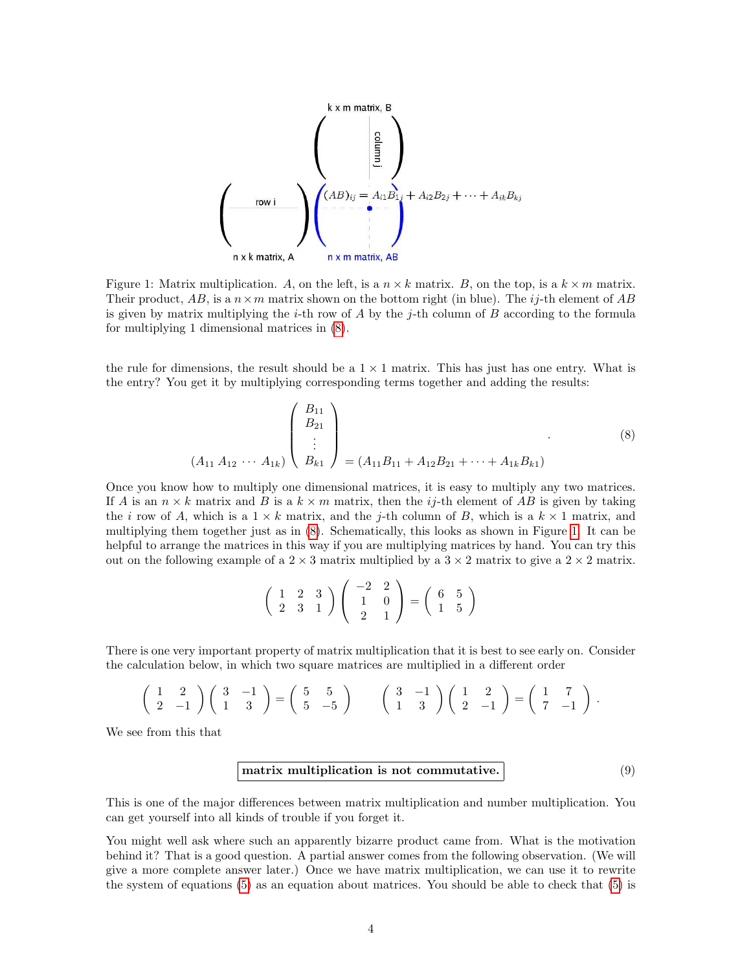<span id="page-4-3"></span>

<span id="page-4-2"></span>Figure 1: Matrix multiplication. A, on the left, is a  $n \times k$  matrix. B, on the top, is a  $k \times m$  matrix. Their product, AB, is a  $n \times m$  matrix shown on the bottom right (in blue). The i<sub>j</sub>-th element of AB is given by matrix multiplying the *i*-th row of  $A$  by the *j*-th column of  $B$  according to the formula for multiplying 1 dimensional matrices in [\(8\)](#page-4-1).

the rule for dimensions, the result should be a  $1 \times 1$  matrix. This has just has one entry. What is the entry? You get it by multiplying corresponding terms together and adding the results:

$$
(A_{11} A_{12} \cdots A_{1k}) \begin{pmatrix} B_{11} \\ B_{21} \\ \vdots \\ B_{k1} \end{pmatrix} = (A_{11} B_{11} + A_{12} B_{21} + \cdots + A_{1k} B_{k1})
$$
 (8)

Once you know how to multiply one dimensional matrices, it is easy to multiply any two matrices. If A is an  $n \times k$  matrix and B is a  $k \times m$  matrix, then the ij-th element of AB is given by taking the i row of A, which is a  $1 \times k$  matrix, and the j-th column of B, which is a  $k \times 1$  matrix, and multiplying them together just as in [\(8\)](#page-4-1). Schematically, this looks as shown in Figure [1.](#page-4-2) It can be helpful to arrange the matrices in this way if you are multiplying matrices by hand. You can try this out on the following example of a  $2 \times 3$  matrix multiplied by a  $3 \times 2$  matrix to give a  $2 \times 2$  matrix.

<span id="page-4-1"></span>
$$
\left(\begin{array}{rrr}1 & 2 & 3 \\ 2 & 3 & 1\end{array}\right)\left(\begin{array}{rrr}-2 & 2 \\ 1 & 0 \\ 2 & 1\end{array}\right) = \left(\begin{array}{rrr}6 & 5 \\ 1 & 5\end{array}\right)
$$

There is one very important property of matrix multiplication that it is best to see early on. Consider the calculation below, in which two square matrices are multiplied in a different order

$$
\left(\begin{array}{cc} 1 & 2 \\ 2 & -1 \end{array}\right)\left(\begin{array}{cc} 3 & -1 \\ 1 & 3 \end{array}\right) = \left(\begin{array}{cc} 5 & 5 \\ 5 & -5 \end{array}\right) \qquad \left(\begin{array}{cc} 3 & -1 \\ 1 & 3 \end{array}\right)\left(\begin{array}{cc} 1 & 2 \\ 2 & -1 \end{array}\right) = \left(\begin{array}{cc} 1 & 7 \\ 7 & -1 \end{array}\right).
$$

<span id="page-4-0"></span>We see from this that

#### matrix multiplication is not commutative.  $(9)$

This is one of the major differences between matrix multiplication and number multiplication. You can get yourself into all kinds of trouble if you forget it.

You might well ask where such an apparently bizarre product came from. What is the motivation behind it? That is a good question. A partial answer comes from the following observation. (We will give a more complete answer later.) Once we have matrix multiplication, we can use it to rewrite the system of equations [\(5\)](#page-2-1) as an equation about matrices. You should be able to check that [\(5\)](#page-2-1) is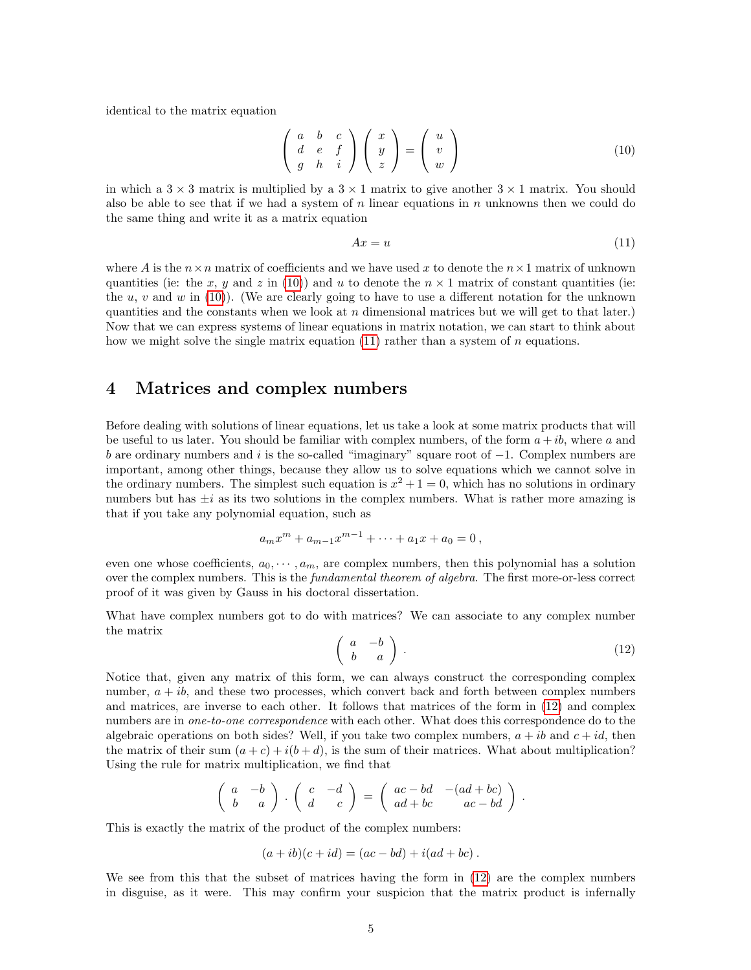<span id="page-5-4"></span>identical to the matrix equation

<span id="page-5-1"></span>
$$
\begin{pmatrix} a & b & c \\ d & e & f \\ g & h & i \end{pmatrix} \begin{pmatrix} x \\ y \\ z \end{pmatrix} = \begin{pmatrix} u \\ v \\ w \end{pmatrix}
$$
 (10)

in which a  $3 \times 3$  matrix is multiplied by a  $3 \times 1$  matrix to give another  $3 \times 1$  matrix. You should also be able to see that if we had a system of n linear equations in n unknowns then we could do the same thing and write it as a matrix equation

<span id="page-5-2"></span>
$$
Ax = u \tag{11}
$$

where A is the  $n \times n$  matrix of coefficients and we have used x to denote the  $n \times 1$  matrix of unknown quantities (ie: the x, y and z in [\(10\)](#page-5-1)) and u to denote the  $n \times 1$  matrix of constant quantities (ie: the  $u, v$  and  $w$  in [\(10\)](#page-5-1)). (We are clearly going to have to use a different notation for the unknown quantities and the constants when we look at  $n$  dimensional matrices but we will get to that later.) Now that we can express systems of linear equations in matrix notation, we can start to think about how we might solve the single matrix equation  $(11)$  rather than a system of n equations.

#### <span id="page-5-0"></span>4 Matrices and complex numbers

Before dealing with solutions of linear equations, let us take a look at some matrix products that will be useful to us later. You should be familiar with complex numbers, of the form  $a + ib$ , where a and b are ordinary numbers and i is the so-called "imaginary" square root of  $-1$ . Complex numbers are important, among other things, because they allow us to solve equations which we cannot solve in the ordinary numbers. The simplest such equation is  $x^2 + 1 = 0$ , which has no solutions in ordinary numbers but has  $\pm i$  as its two solutions in the complex numbers. What is rather more amazing is that if you take any polynomial equation, such as

$$
a_m x^m + a_{m-1} x^{m-1} + \dots + a_1 x + a_0 = 0,
$$

even one whose coefficients,  $a_0, \dots, a_m$ , are complex numbers, then this polynomial has a solution over the complex numbers. This is the *fundamental theorem of algebra*. The first more-or-less correct proof of it was given by Gauss in his doctoral dissertation.

<span id="page-5-3"></span>What have complex numbers got to do with matrices? We can associate to any complex number the matrix

$$
\left(\begin{array}{cc} a & -b \\ b & a \end{array}\right). \tag{12}
$$

Notice that, given any matrix of this form, we can always construct the corresponding complex number,  $a + ib$ , and these two processes, which convert back and forth between complex numbers and matrices, are inverse to each other. It follows that matrices of the form in [\(12\)](#page-5-3) and complex numbers are in *one-to-one correspondence* with each other. What does this correspondence do to the algebraic operations on both sides? Well, if you take two complex numbers,  $a + ib$  and  $c + id$ , then the matrix of their sum  $(a + c) + i(b + d)$ , is the sum of their matrices. What about multiplication? Using the rule for matrix multiplication, we find that

$$
\left(\begin{array}{cc} a & -b \\ b & a \end{array}\right) \cdot \left(\begin{array}{cc} c & -d \\ d & c \end{array}\right) = \left(\begin{array}{cc} ac-bd & -(ad+bc) \\ ad+bc & ac-bd \end{array}\right).
$$

This is exactly the matrix of the product of the complex numbers:

$$
(a+ib)(c+id) = (ac-bd) + i(ad+bc).
$$

We see from this that the subset of matrices having the form in  $(12)$  are the complex numbers in disguise, as it were. This may confirm your suspicion that the matrix product is infernally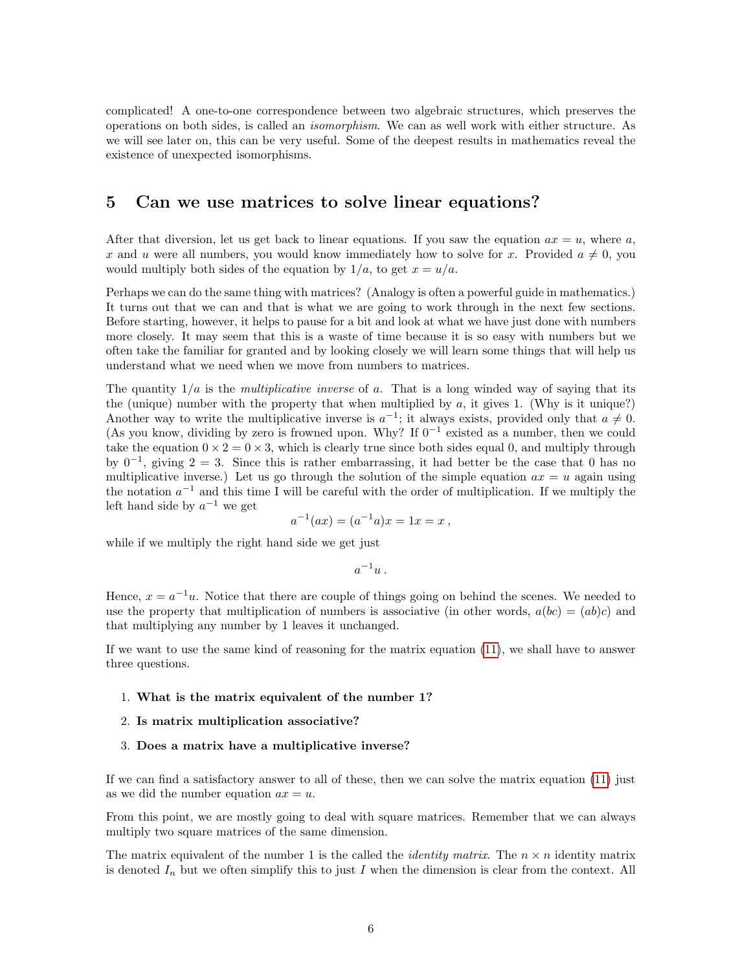<span id="page-6-1"></span>complicated! A one-to-one correspondence between two algebraic structures, which preserves the operations on both sides, is called an isomorphism. We can as well work with either structure. As we will see later on, this can be very useful. Some of the deepest results in mathematics reveal the existence of unexpected isomorphisms.

#### <span id="page-6-0"></span>5 Can we use matrices to solve linear equations?

After that diversion, let us get back to linear equations. If you saw the equation  $ax = u$ , where a, x and u were all numbers, you would know immediately how to solve for x. Provided  $a \neq 0$ , you would multiply both sides of the equation by  $1/a$ , to get  $x = u/a$ .

Perhaps we can do the same thing with matrices? (Analogy is often a powerful guide in mathematics.) It turns out that we can and that is what we are going to work through in the next few sections. Before starting, however, it helps to pause for a bit and look at what we have just done with numbers more closely. It may seem that this is a waste of time because it is so easy with numbers but we often take the familiar for granted and by looking closely we will learn some things that will help us understand what we need when we move from numbers to matrices.

The quantity  $1/a$  is the *multiplicative inverse* of a. That is a long winded way of saying that its the (unique) number with the property that when multiplied by  $a$ , it gives 1. (Why is it unique?) Another way to write the multiplicative inverse is  $a^{-1}$ ; it always exists, provided only that  $a \neq 0$ . (As you know, dividing by zero is frowned upon. Why? If  $0^{-1}$  existed as a number, then we could take the equation  $0 \times 2 = 0 \times 3$ , which is clearly true since both sides equal 0, and multiply through by  $0^{-1}$ , giving  $2 = 3$ . Since this is rather embarrassing, it had better be the case that 0 has no multiplicative inverse.) Let us go through the solution of the simple equation  $ax = u$  again using the notation  $a^{-1}$  and this time I will be careful with the order of multiplication. If we multiply the left hand side by  $a^{-1}$  we get

$$
a^{-1}(ax) = (a^{-1}a)x = 1x = x,
$$

while if we multiply the right hand side we get just

$$
a^{-1}u.
$$

Hence,  $x = a^{-1}u$ . Notice that there are couple of things going on behind the scenes. We needed to use the property that multiplication of numbers is associative (in other words,  $a(bc) = (ab)c$ ) and that multiplying any number by 1 leaves it unchanged.

If we want to use the same kind of reasoning for the matrix equation [\(11\)](#page-5-2), we shall have to answer three questions.

#### 1. What is the matrix equivalent of the number 1?

- 2. Is matrix multiplication associative?
- 3. Does a matrix have a multiplicative inverse?

If we can find a satisfactory answer to all of these, then we can solve the matrix equation [\(11\)](#page-5-2) just as we did the number equation  $ax = u$ .

From this point, we are mostly going to deal with square matrices. Remember that we can always multiply two square matrices of the same dimension.

The matrix equivalent of the number 1 is the called the *identity matrix*. The  $n \times n$  identity matrix is denoted  $I_n$  but we often simplify this to just I when the dimension is clear from the context. All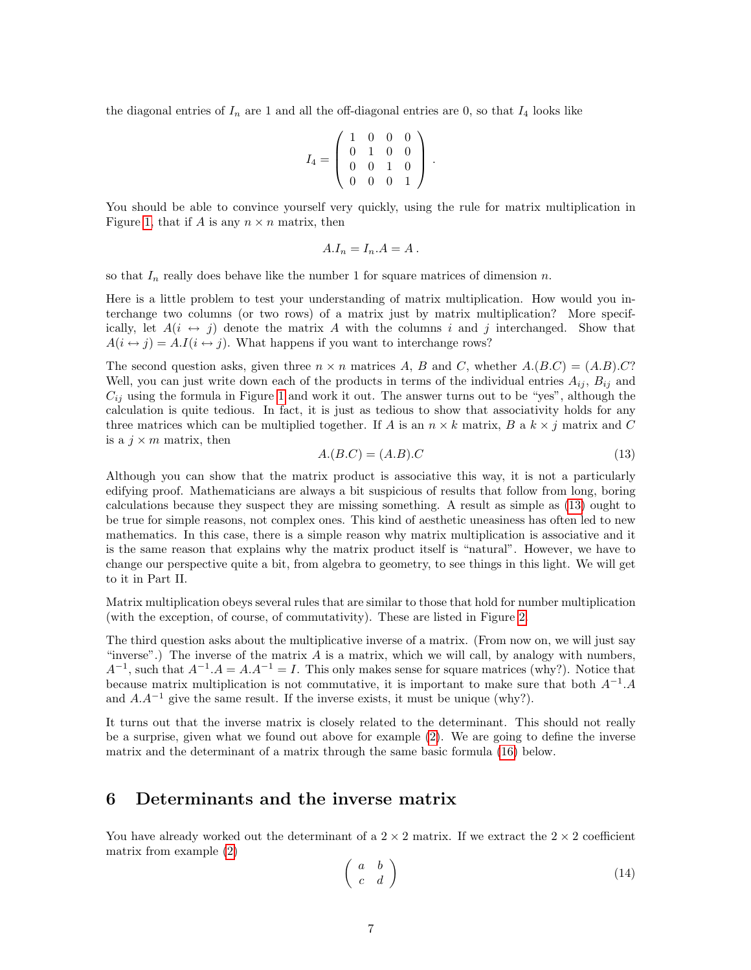<span id="page-7-3"></span>the diagonal entries of  $I_n$  are 1 and all the off-diagonal entries are 0, so that  $I_4$  looks like

$$
I_4 = \left(\begin{array}{cccc} 1 & 0 & 0 & 0 \\ 0 & 1 & 0 & 0 \\ 0 & 0 & 1 & 0 \\ 0 & 0 & 0 & 1 \end{array}\right) .
$$

You should be able to convince yourself very quickly, using the rule for matrix multiplication in Figure [1,](#page-4-2) that if A is any  $n \times n$  matrix, then

$$
A.I_n = I_n.A = A.
$$

so that  $I_n$  really does behave like the number 1 for square matrices of dimension n.

Here is a little problem to test your understanding of matrix multiplication. How would you interchange two columns (or two rows) of a matrix just by matrix multiplication? More specifically, let  $A(i \leftrightarrow j)$  denote the matrix A with the columns i and j interchanged. Show that  $A(i \leftrightarrow j) = A.I(i \leftrightarrow j)$ . What happens if you want to interchange rows?

The second question asks, given three  $n \times n$  matrices A, B and C, whether  $A(B.C) = (A.B).C$ ? Well, you can just write down each of the products in terms of the individual entries  $A_{ij}$ ,  $B_{ij}$  and  $C_{ij}$  using the formula in Figure [1](#page-4-2) and work it out. The answer turns out to be "yes", although the calculation is quite tedious. In fact, it is just as tedious to show that associativity holds for any three matrices which can be multiplied together. If A is an  $n \times k$  matrix, B a  $k \times j$  matrix and C is a  $j \times m$  matrix, then

<span id="page-7-1"></span>
$$
A.(B.C) = (A.B).C
$$
\n<sup>(13)</sup>

Although you can show that the matrix product is associative this way, it is not a particularly edifying proof. Mathematicians are always a bit suspicious of results that follow from long, boring calculations because they suspect they are missing something. A result as simple as [\(13\)](#page-7-1) ought to be true for simple reasons, not complex ones. This kind of aesthetic uneasiness has often led to new mathematics. In this case, there is a simple reason why matrix multiplication is associative and it is the same reason that explains why the matrix product itself is "natural". However, we have to change our perspective quite a bit, from algebra to geometry, to see things in this light. We will get to it in Part II.

Matrix multiplication obeys several rules that are similar to those that hold for number multiplication (with the exception, of course, of commutativity). These are listed in Figure [2.](#page-14-0)

The third question asks about the multiplicative inverse of a matrix. (From now on, we will just say "inverse".) The inverse of the matrix  $A$  is a matrix, which we will call, by analogy with numbers,  $A^{-1}$ , such that  $A^{-1}A = A.A^{-1} = I$ . This only makes sense for square matrices (why?). Notice that because matrix multiplication is not commutative, it is important to make sure that both  $A^{-1}.A$ and  $A.A^{-1}$  give the same result. If the inverse exists, it must be unique (why?).

It turns out that the inverse matrix is closely related to the determinant. This should not really be a surprise, given what we found out above for example [\(2\)](#page-1-4). We are going to define the inverse matrix and the determinant of a matrix through the same basic formula [\(16\)](#page-8-0) below.

#### <span id="page-7-0"></span>6 Determinants and the inverse matrix

You have already worked out the determinant of a  $2 \times 2$  matrix. If we extract the  $2 \times 2$  coefficient matrix from example [\(2\)](#page-1-4)

<span id="page-7-2"></span>
$$
\left(\begin{array}{cc} a & b \\ c & d \end{array}\right) \tag{14}
$$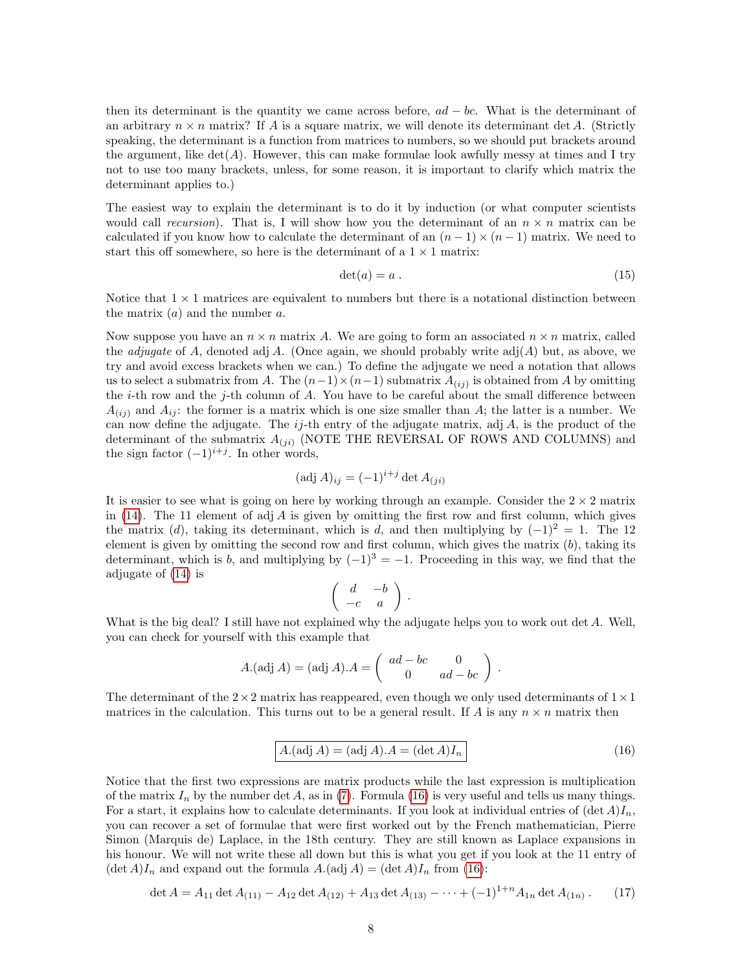<span id="page-8-2"></span>then its determinant is the quantity we came across before,  $ad - bc$ . What is the determinant of an arbitrary  $n \times n$  matrix? If A is a square matrix, we will denote its determinant det A. (Strictly speaking, the determinant is a function from matrices to numbers, so we should put brackets around the argument, like  $\det(A)$ . However, this can make formulae look awfully messy at times and I try not to use too many brackets, unless, for some reason, it is important to clarify which matrix the determinant applies to.)

The easiest way to explain the determinant is to do it by induction (or what computer scientists would call recursion). That is, I will show how you the determinant of an  $n \times n$  matrix can be calculated if you know how to calculate the determinant of an  $(n-1) \times (n-1)$  matrix. We need to start this off somewhere, so here is the determinant of a  $1 \times 1$  matrix:

$$
\det(a) = a . \tag{15}
$$

Notice that  $1 \times 1$  matrices are equivalent to numbers but there is a notational distinction between the matrix  $(a)$  and the number a.

Now suppose you have an  $n \times n$  matrix A. We are going to form an associated  $n \times n$  matrix, called the *adjugate* of A, denoted adj A. (Once again, we should probably write adj $(A)$  but, as above, we try and avoid excess brackets when we can.) To define the adjugate we need a notation that allows us to select a submatrix from A. The  $(n-1) \times (n-1)$  submatrix  $A_{(ij)}$  is obtained from A by omitting the  $i$ -th row and the  $j$ -th column of  $A$ . You have to be careful about the small difference between  $A_{(ij)}$  and  $A_{ij}$ : the former is a matrix which is one size smaller than A; the latter is a number. We can now define the adjugate. The  $ij$ -th entry of the adjugate matrix, adj  $A$ , is the product of the determinant of the submatrix  $A_{(ji)}$  (NOTE THE REVERSAL OF ROWS AND COLUMNS) and the sign factor  $(-1)^{i+j}$ . In other words,

$$
(\text{adj } A)_{ij} = (-1)^{i+j} \det A_{(ji)}
$$

It is easier to see what is going on here by working through an example. Consider the  $2 \times 2$  matrix in [\(14\)](#page-7-2). The 11 element of adj  $A$  is given by omitting the first row and first column, which gives the matrix (d), taking its determinant, which is d, and then multiplying by  $(-1)^2 = 1$ . The 12 element is given by omitting the second row and first column, which gives the matrix  $(b)$ , taking its determinant, which is b, and multiplying by  $(-1)^3 = -1$ . Proceeding in this way, we find that the adjugate of [\(14\)](#page-7-2) is

$$
\left(\begin{array}{rr} d & -b \\ -c & a \end{array}\right) \ .
$$

What is the big deal? I still have not explained why the adjugate helps you to work out det A. Well, you can check for yourself with this example that

$$
A.(\text{adj }A) = (\text{adj }A).A = \begin{pmatrix} ad - bc & 0 \\ 0 & ad - bc \end{pmatrix}.
$$

<span id="page-8-0"></span>The determinant of the  $2\times 2$  matrix has reappeared, even though we only used determinants of  $1\times 1$ matrices in the calculation. This turns out to be a general result. If A is any  $n \times n$  matrix then

<span id="page-8-1"></span>
$$
A.(\text{adj }A) = (\text{adj }A).A = (\text{det }A)I_n
$$
\n(16)

Notice that the first two expressions are matrix products while the last expression is multiplication of the matrix  $I_n$  by the number det A, as in [\(7\)](#page-3-0). Formula [\(16\)](#page-8-0) is very useful and tells us many things. For a start, it explains how to calculate determinants. If you look at individual entries of  $(\det A)I_n$ , you can recover a set of formulae that were first worked out by the French mathematician, Pierre Simon (Marquis de) Laplace, in the 18th century. They are still known as Laplace expansions in his honour. We will not write these all down but this is what you get if you look at the 11 entry of  $(\det A)I_n$  and expand out the formula  $A.(\text{adj }A) = (\det A)I_n$  from [\(16\)](#page-8-0):

$$
\det A = A_{11} \det A_{(11)} - A_{12} \det A_{(12)} + A_{13} \det A_{(13)} - \dots + (-1)^{1+n} A_{1n} \det A_{(1n)}.
$$
 (17)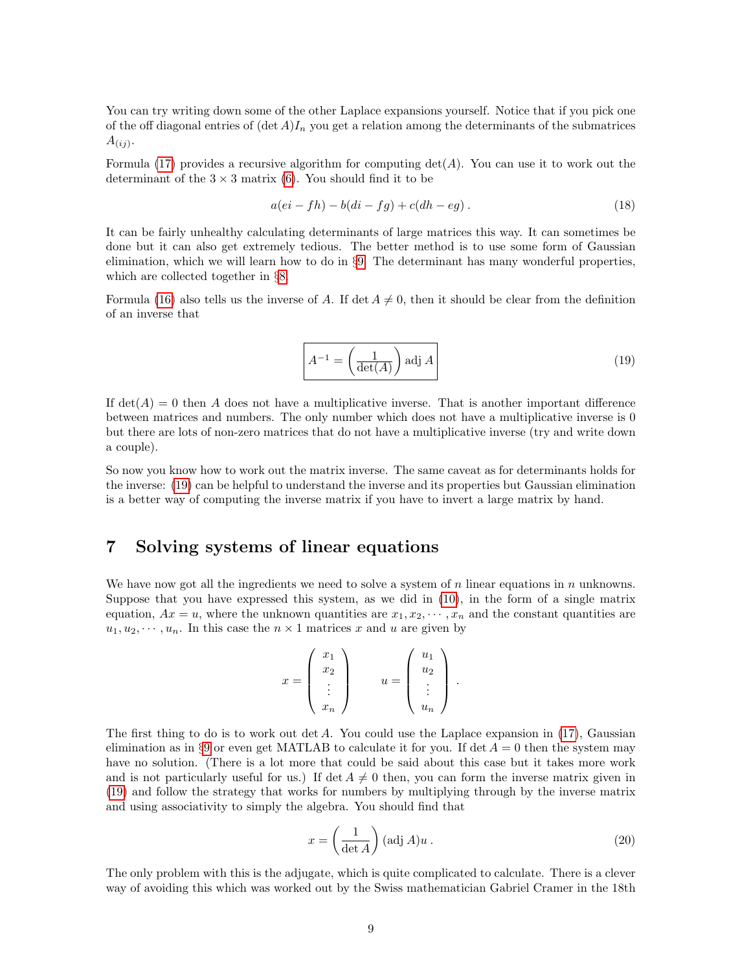<span id="page-9-4"></span>You can try writing down some of the other Laplace expansions yourself. Notice that if you pick one of the off diagonal entries of  $(\det A)I_n$  you get a relation among the determinants of the submatrices  $A_{(ij)}$ .

Formula [\(17\)](#page-8-1) provides a recursive algorithm for computing  $\det(A)$ . You can use it to work out the determinant of the  $3 \times 3$  matrix [\(6\)](#page-2-2). You should find it to be

<span id="page-9-3"></span>
$$
a(ei - fh) - b(di - fg) + c(dh - eg).
$$
\n(18)

It can be fairly unhealthy calculating determinants of large matrices this way. It can sometimes be done but it can also get extremely tedious. The better method is to use some form of Gaussian elimination, which we will learn how to do in §[9.](#page-11-0) The determinant has many wonderful properties, which are collected together in §[8.](#page-10-0)

<span id="page-9-1"></span>Formula [\(16\)](#page-8-0) also tells us the inverse of A. If det  $A \neq 0$ , then it should be clear from the definition of an inverse that

$$
A^{-1} = \left(\frac{1}{\det(A)}\right) \text{adj } A
$$
 (19)

If  $det(A) = 0$  then A does not have a multiplicative inverse. That is another important difference between matrices and numbers. The only number which does not have a multiplicative inverse is 0 but there are lots of non-zero matrices that do not have a multiplicative inverse (try and write down a couple).

So now you know how to work out the matrix inverse. The same caveat as for determinants holds for the inverse: [\(19\)](#page-9-1) can be helpful to understand the inverse and its properties but Gaussian elimination is a better way of computing the inverse matrix if you have to invert a large matrix by hand.

## <span id="page-9-0"></span>7 Solving systems of linear equations

We have now got all the ingredients we need to solve a system of n linear equations in n unknowns. Suppose that you have expressed this system, as we did in [\(10\)](#page-5-1), in the form of a single matrix equation,  $Ax = u$ , where the unknown quantities are  $x_1, x_2, \dots, x_n$  and the constant quantities are  $u_1, u_2, \dots, u_n$ . In this case the  $n \times 1$  matrices x and u are given by

$$
x = \begin{pmatrix} x_1 \\ x_2 \\ \vdots \\ x_n \end{pmatrix} \qquad u = \begin{pmatrix} u_1 \\ u_2 \\ \vdots \\ u_n \end{pmatrix}.
$$

The first thing to do is to work out  $\det A$ . You could use the Laplace expansion in [\(17\)](#page-8-1), Gaussian elimination as in §[9](#page-11-0) or even get MATLAB to calculate it for you. If det  $A = 0$  then the system may have no solution. (There is a lot more that could be said about this case but it takes more work and is not particularly useful for us.) If det  $A \neq 0$  then, you can form the inverse matrix given in [\(19\)](#page-9-1) and follow the strategy that works for numbers by multiplying through by the inverse matrix and using associativity to simply the algebra. You should find that

<span id="page-9-2"></span>
$$
x = \left(\frac{1}{\det A}\right) (\text{adj } A) u . \tag{20}
$$

The only problem with this is the adjugate, which is quite complicated to calculate. There is a clever way of avoiding this which was worked out by the Swiss mathematician Gabriel Cramer in the 18th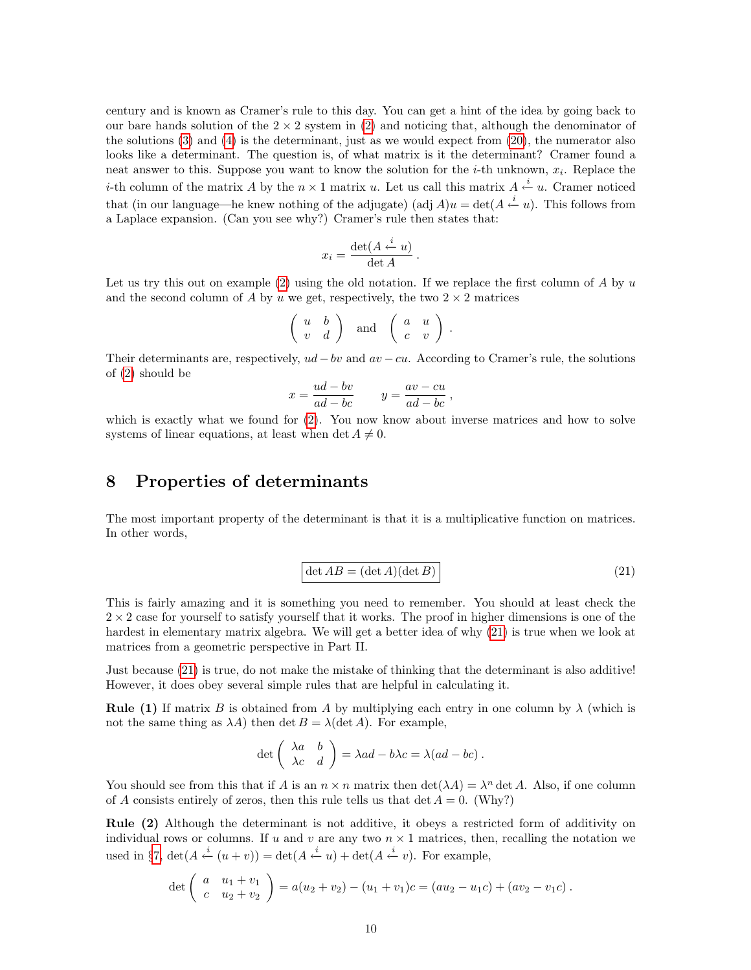<span id="page-10-2"></span>century and is known as Cramer's rule to this day. You can get a hint of the idea by going back to our bare hands solution of the  $2 \times 2$  system in [\(2\)](#page-1-4) and noticing that, although the denominator of the solutions [\(3\)](#page-2-3) and [\(4\)](#page-2-4) is the determinant, just as we would expect from [\(20\)](#page-9-2), the numerator also looks like a determinant. The question is, of what matrix is it the determinant? Cramer found a neat answer to this. Suppose you want to know the solution for the *i*-th unknown,  $x_i$ . Replace the *i*-th column of the matrix A by the  $n \times 1$  matrix u. Let us call this matrix  $A \stackrel{i}{\leftarrow} u$ . Cramer noticed that (in our language—he knew nothing of the adjugate) (adj  $A$ )u = det( $A \stackrel{i}{\leftarrow} u$ ). This follows from a Laplace expansion. (Can you see why?) Cramer's rule then states that:

$$
x_i = \frac{\det(A \stackrel{i}{\leftarrow} u)}{\det A}.
$$

Let us try this out on example  $(2)$  using the old notation. If we replace the first column of A by u and the second column of A by u we get, respectively, the two  $2 \times 2$  matrices

$$
\left(\begin{array}{cc} u & b \\ v & d \end{array}\right) \quad \text{and} \quad \left(\begin{array}{cc} a & u \\ c & v \end{array}\right).
$$

Their determinants are, respectively,  $ud-bv$  and  $av-cu$ . According to Cramer's rule, the solutions of [\(2\)](#page-1-4) should be

$$
x = \frac{ud - bv}{ad - bc} \qquad y = \frac{av - cu}{ad - bc} \,,
$$

which is exactly what we found for  $(2)$ . You now know about inverse matrices and how to solve systems of linear equations, at least when det  $A \neq 0$ .

#### <span id="page-10-0"></span>8 Properties of determinants

<span id="page-10-1"></span>The most important property of the determinant is that it is a multiplicative function on matrices. In other words,

$$
\det AB = (\det A)(\det B)
$$
\n(21)

This is fairly amazing and it is something you need to remember. You should at least check the  $2 \times 2$  case for yourself to satisfy yourself that it works. The proof in higher dimensions is one of the hardest in elementary matrix algebra. We will get a better idea of why [\(21\)](#page-10-1) is true when we look at matrices from a geometric perspective in Part II.

Just because [\(21\)](#page-10-1) is true, do not make the mistake of thinking that the determinant is also additive! However, it does obey several simple rules that are helpful in calculating it.

**Rule (1)** If matrix B is obtained from A by multiplying each entry in one column by  $\lambda$  (which is not the same thing as  $\lambda A$ ) then det  $B = \lambda$ (det A). For example,

$$
\det \left( \begin{array}{cc} \lambda a & b \\ \lambda c & d \end{array} \right) = \lambda ad - b\lambda c = \lambda (ad - bc) \, .
$$

You should see from this that if A is an  $n \times n$  matrix then  $\det(\lambda A) = \lambda^n \det A$ . Also, if one column of A consists entirely of zeros, then this rule tells us that  $\det A = 0$ . (Why?)

Rule (2) Although the determinant is not additive, it obeys a restricted form of additivity on individual rows or columns. If u and v are any two  $n \times 1$  matrices, then, recalling the notation we used in §[7,](#page-9-0)  $\det(A \stackrel{i}{\leftarrow} (u+v)) = \det(A \stackrel{i}{\leftarrow} u) + \det(A \stackrel{i}{\leftarrow} v)$ . For example,

$$
\det\left(\begin{array}{cc} a & u_1 + v_1 \\ c & u_2 + v_2 \end{array}\right) = a(u_2 + v_2) - (u_1 + v_1)c = (au_2 - u_1c) + (av_2 - v_1c).
$$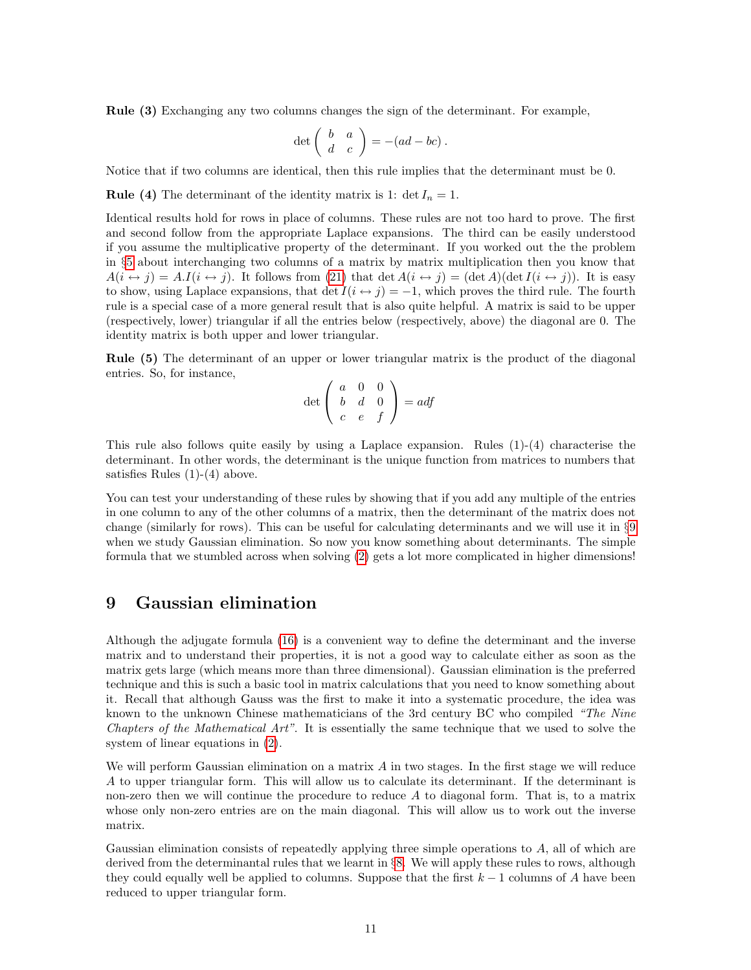<span id="page-11-1"></span>Rule (3) Exchanging any two columns changes the sign of the determinant. For example,

$$
\det\left(\begin{array}{cc} b & a \\ d & c \end{array}\right) = -(ad - bc) .
$$

Notice that if two columns are identical, then this rule implies that the determinant must be 0.

**Rule (4)** The determinant of the identity matrix is 1: det  $I_n = 1$ .

Identical results hold for rows in place of columns. These rules are not too hard to prove. The first and second follow from the appropriate Laplace expansions. The third can be easily understood if you assume the multiplicative property of the determinant. If you worked out the the problem in §[5](#page-6-0) about interchanging two columns of a matrix by matrix multiplication then you know that  $A(i \leftrightarrow j) = A.I(i \leftrightarrow j)$ . It follows from [\(21\)](#page-10-1) that det  $A(i \leftrightarrow j) = (\det A)(\det I(i \leftrightarrow j))$ . It is easy to show, using Laplace expansions, that det  $I(i \leftrightarrow j) = -1$ , which proves the third rule. The fourth rule is a special case of a more general result that is also quite helpful. A matrix is said to be upper (respectively, lower) triangular if all the entries below (respectively, above) the diagonal are 0. The identity matrix is both upper and lower triangular.

Rule (5) The determinant of an upper or lower triangular matrix is the product of the diagonal entries. So, for instance,

$$
\det\left(\begin{array}{ccc}a&0&0\\b&d&0\\c&e&f\end{array}\right)=adf
$$

This rule also follows quite easily by using a Laplace expansion. Rules (1)-(4) characterise the determinant. In other words, the determinant is the unique function from matrices to numbers that satisfies Rules  $(1)-(4)$  above.

You can test your understanding of these rules by showing that if you add any multiple of the entries in one column to any of the other columns of a matrix, then the determinant of the matrix does not change (similarly for rows). This can be useful for calculating determinants and we will use it in §[9](#page-11-0) when we study Gaussian elimination. So now you know something about determinants. The simple formula that we stumbled across when solving [\(2\)](#page-1-4) gets a lot more complicated in higher dimensions!

## <span id="page-11-0"></span>9 Gaussian elimination

Although the adjugate formula [\(16\)](#page-8-0) is a convenient way to define the determinant and the inverse matrix and to understand their properties, it is not a good way to calculate either as soon as the matrix gets large (which means more than three dimensional). Gaussian elimination is the preferred technique and this is such a basic tool in matrix calculations that you need to know something about it. Recall that although Gauss was the first to make it into a systematic procedure, the idea was known to the unknown Chinese mathematicians of the 3rd century BC who compiled "The Nine Chapters of the Mathematical Art". It is essentially the same technique that we used to solve the system of linear equations in [\(2\)](#page-1-4).

We will perform Gaussian elimination on a matrix A in two stages. In the first stage we will reduce A to upper triangular form. This will allow us to calculate its determinant. If the determinant is non-zero then we will continue the procedure to reduce  $A$  to diagonal form. That is, to a matrix whose only non-zero entries are on the main diagonal. This will allow us to work out the inverse matrix.

Gaussian elimination consists of repeatedly applying three simple operations to A, all of which are derived from the determinantal rules that we learnt in §[8.](#page-10-0) We will apply these rules to rows, although they could equally well be applied to columns. Suppose that the first  $k - 1$  columns of A have been reduced to upper triangular form.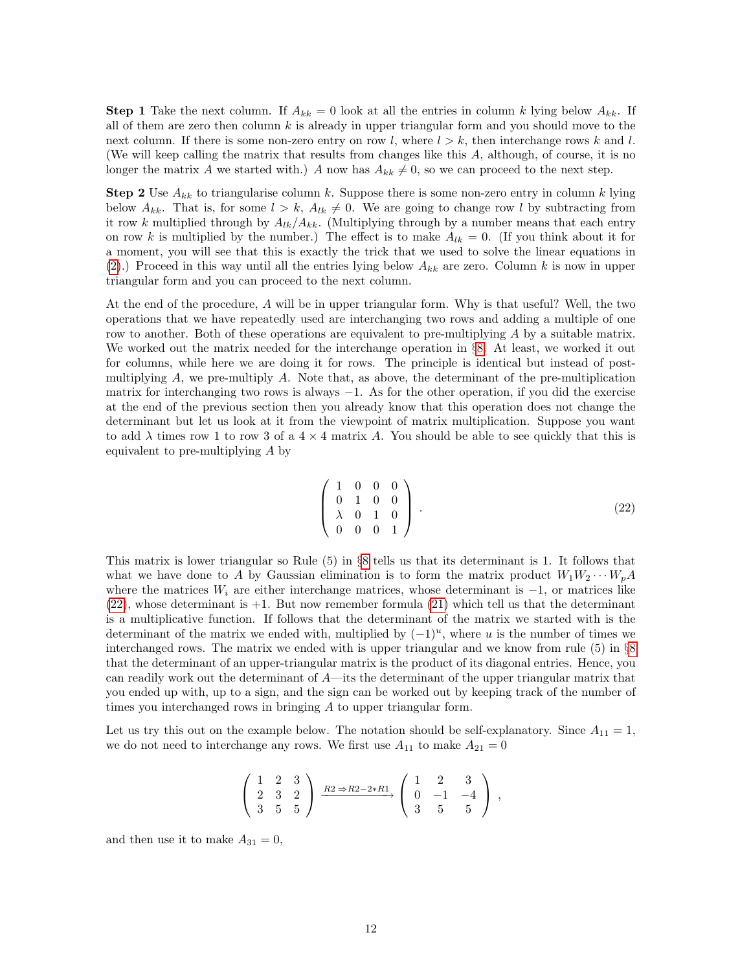<span id="page-12-1"></span>**Step 1** Take the next column. If  $A_{kk} = 0$  look at all the entries in column k lying below  $A_{kk}$ . If all of them are zero then column  $k$  is already in upper triangular form and you should move to the next column. If there is some non-zero entry on row l, where  $l > k$ , then interchange rows k and l. (We will keep calling the matrix that results from changes like this A, although, of course, it is no longer the matrix A we started with.) A now has  $A_{kk} \neq 0$ , so we can proceed to the next step.

**Step 2** Use  $A_{kk}$  to triangularise column k. Suppose there is some non-zero entry in column k lying below  $A_{kk}$ . That is, for some  $l > k$ ,  $A_{lk} \neq 0$ . We are going to change row l by subtracting from it row k multiplied through by  $A_{lk}/A_{kk}$ . (Multiplying through by a number means that each entry on row k is multiplied by the number.) The effect is to make  $A_{lk} = 0$ . (If you think about it for a moment, you will see that this is exactly the trick that we used to solve the linear equations in [\(2\)](#page-1-4).) Proceed in this way until all the entries lying below  $A_{kk}$  are zero. Column k is now in upper triangular form and you can proceed to the next column.

At the end of the procedure, A will be in upper triangular form. Why is that useful? Well, the two operations that we have repeatedly used are interchanging two rows and adding a multiple of one row to another. Both of these operations are equivalent to pre-multiplying A by a suitable matrix. We worked out the matrix needed for the interchange operation in §[8.](#page-10-0) At least, we worked it out for columns, while here we are doing it for rows. The principle is identical but instead of postmultiplying  $A$ , we pre-multiply  $A$ . Note that, as above, the determinant of the pre-multiplication matrix for interchanging two rows is always  $-1$ . As for the other operation, if you did the exercise at the end of the previous section then you already know that this operation does not change the determinant but let us look at it from the viewpoint of matrix multiplication. Suppose you want to add  $\lambda$  times row 1 to row 3 of a  $4 \times 4$  matrix A. You should be able to see quickly that this is equivalent to pre-multiplying A by

$$
\left(\begin{array}{cccc}\n1 & 0 & 0 & 0 \\
0 & 1 & 0 & 0 \\
\lambda & 0 & 1 & 0 \\
0 & 0 & 0 & 1\n\end{array}\right).
$$
\n(22)

<span id="page-12-0"></span>This matrix is lower triangular so Rule (5) in §[8](#page-10-0) tells us that its determinant is 1. It follows that what we have done to A by Gaussian elimination is to form the matrix product  $W_1W_2\cdots W_pA$ where the matrices  $W_i$  are either interchange matrices, whose determinant is  $-1$ , or matrices like  $(22)$ , whose determinant is  $+1$ . But now remember formula  $(21)$  which tell us that the determinant is a multiplicative function. If follows that the determinant of the matrix we started with is the determinant of the matrix we ended with, multiplied by  $(-1)^u$ , where u is the number of times we interchanged rows. The matrix we ended with is upper triangular and we know from rule (5) in §[8](#page-10-0) that the determinant of an upper-triangular matrix is the product of its diagonal entries. Hence, you can readily work out the determinant of  $A$ —its the determinant of the upper triangular matrix that you ended up with, up to a sign, and the sign can be worked out by keeping track of the number of times you interchanged rows in bringing A to upper triangular form.

Let us try this out on the example below. The notation should be self-explanatory. Since  $A_{11} = 1$ , we do not need to interchange any rows. We first use  $A_{11}$  to make  $A_{21} = 0$ 

$$
\left(\begin{array}{rrr} 1 & 2 & 3 \\ 2 & 3 & 2 \\ 3 & 5 & 5 \end{array}\right) \xrightarrow{R2 \Rightarrow R2-2*R1} \left(\begin{array}{rrr} 1 & 2 & 3 \\ 0 & -1 & -4 \\ 3 & 5 & 5 \end{array}\right) ,
$$

and then use it to make  $A_{31} = 0$ ,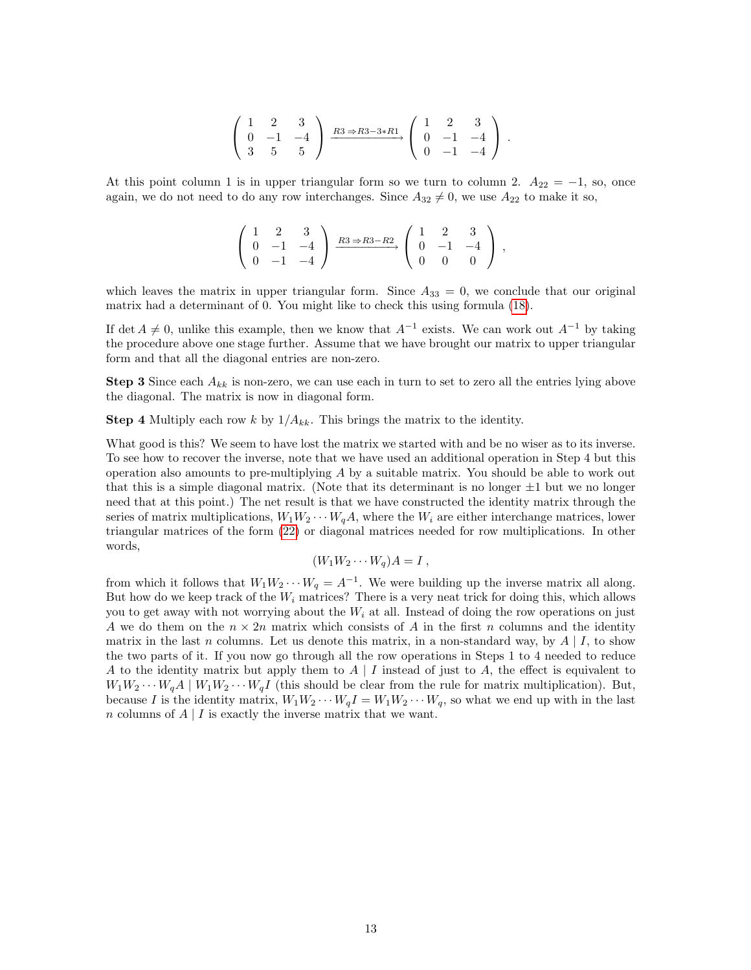$$
\left(\begin{array}{rrr} 1 & 2 & 3 \\ 0 & -1 & -4 \\ 3 & 5 & 5 \end{array}\right) \xrightarrow{R3 \Rightarrow R3-3*R1} \left(\begin{array}{rrr} 1 & 2 & 3 \\ 0 & -1 & -4 \\ 0 & -1 & -4 \end{array}\right).
$$

<span id="page-13-0"></span>At this point column 1 is in upper triangular form so we turn to column 2.  $A_{22} = -1$ , so, once again, we do not need to do any row interchanges. Since  $A_{32} \neq 0$ , we use  $A_{22}$  to make it so,

$$
\left(\begin{array}{rrr} 1 & 2 & 3 \\ 0 & -1 & -4 \\ 0 & -1 & -4 \end{array}\right) \xrightarrow{R3 \Rightarrow R3-R2} \left(\begin{array}{rrr} 1 & 2 & 3 \\ 0 & -1 & -4 \\ 0 & 0 & 0 \end{array}\right) ,
$$

which leaves the matrix in upper triangular form. Since  $A_{33} = 0$ , we conclude that our original matrix had a determinant of 0. You might like to check this using formula [\(18\)](#page-9-3).

If det  $A \neq 0$ , unlike this example, then we know that  $A^{-1}$  exists. We can work out  $A^{-1}$  by taking the procedure above one stage further. Assume that we have brought our matrix to upper triangular form and that all the diagonal entries are non-zero.

**Step 3** Since each  $A_{kk}$  is non-zero, we can use each in turn to set to zero all the entries lying above the diagonal. The matrix is now in diagonal form.

**Step 4** Multiply each row k by  $1/A_{kk}$ . This brings the matrix to the identity.

What good is this? We seem to have lost the matrix we started with and be no wiser as to its inverse. To see how to recover the inverse, note that we have used an additional operation in Step 4 but this operation also amounts to pre-multiplying  $A$  by a suitable matrix. You should be able to work out that this is a simple diagonal matrix. (Note that its determinant is no longer  $\pm 1$  but we no longer need that at this point.) The net result is that we have constructed the identity matrix through the series of matrix multiplications,  $W_1W_2\cdots W_qA$ , where the  $W_i$  are either interchange matrices, lower triangular matrices of the form [\(22\)](#page-12-0) or diagonal matrices needed for row multiplications. In other words,

$$
(W_1 W_2 \cdots W_q) A = I \ ,
$$

from which it follows that  $W_1 W_2 \cdots W_q = A^{-1}$ . We were building up the inverse matrix all along. But how do we keep track of the  $W_i$  matrices? There is a very neat trick for doing this, which allows you to get away with not worrying about the  $W_i$  at all. Instead of doing the row operations on just A we do them on the  $n \times 2n$  matrix which consists of A in the first n columns and the identity matrix in the last n columns. Let us denote this matrix, in a non-standard way, by  $A \mid I$ , to show the two parts of it. If you now go through all the row operations in Steps 1 to 4 needed to reduce A to the identity matrix but apply them to  $A \mid I$  instead of just to A, the effect is equivalent to  $W_1W_2\cdots W_qA\mid W_1W_2\cdots W_qI$  (this should be clear from the rule for matrix multiplication). But, because I is the identity matrix,  $W_1 W_2 \cdots W_q I = W_1 W_2 \cdots W_q$ , so what we end up with in the last n columns of  $A \mid I$  is exactly the inverse matrix that we want.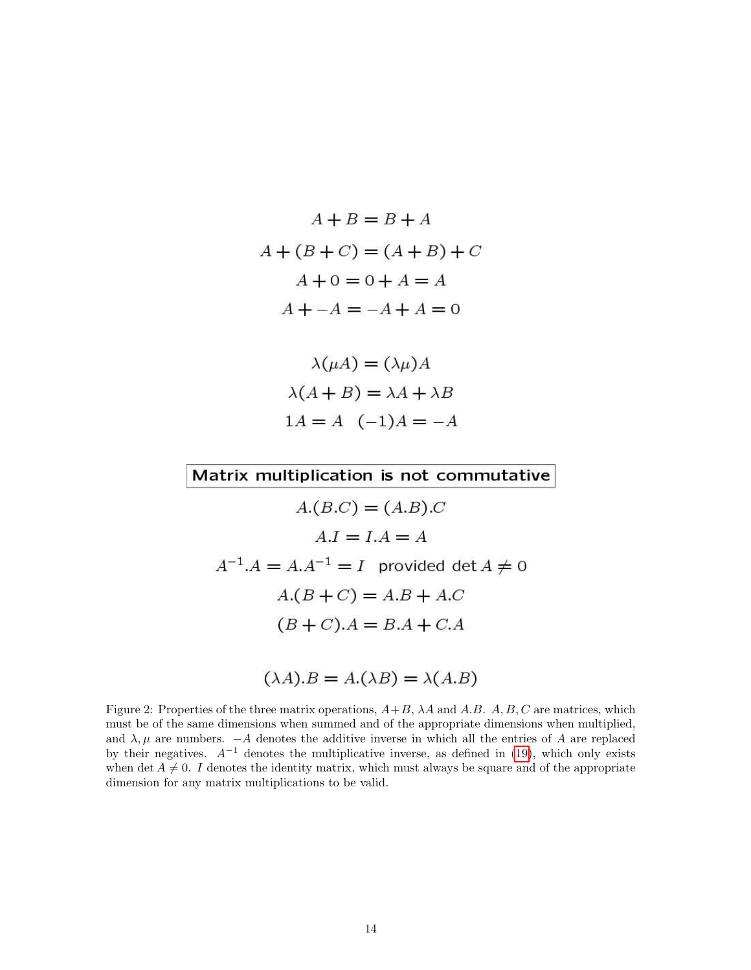$$
A + B = B + A
$$
  

$$
A + (B + C) = (A + B) + C
$$
  

$$
A + 0 = 0 + A = A
$$
  

$$
A + -A = -A + A = 0
$$

$$
\lambda(\mu A) = (\lambda \mu)A
$$

$$
\lambda(A + B) = \lambda A + \lambda B
$$

$$
1A = A \quad (-1)A = -A
$$

Matrix multiplication is not commutative

 $A.(B.C) = (A.B).C$  $A.I = I.A = A$  $A^{-1}.A = A.A^{-1} = I$  provided det  $A \neq 0$  $A.(B + C) = A.B + A.C$  $(B+C).A = B.A + C.A$ 

$$
(\lambda A).B = A.(\lambda B) = \lambda (A.B)
$$

<span id="page-14-0"></span>Figure 2: Properties of the three matrix operations,  $A+B$ ,  $\lambda A$  and  $A.B$ .  $A$ ,  $B$ ,  $C$  are matrices, which must be of the same dimensions when summed and of the appropriate dimensions when multiplied, and  $\lambda, \mu$  are numbers.  $-A$  denotes the additive inverse in which all the entries of A are replaced by their negatives.  $A^{-1}$  denotes the multiplicative inverse, as defined in [\(19\)](#page-9-1), which only exists when det  $A \neq 0$ . I denotes the identity matrix, which must always be square and of the appropriate dimension for any matrix multiplications to be valid.